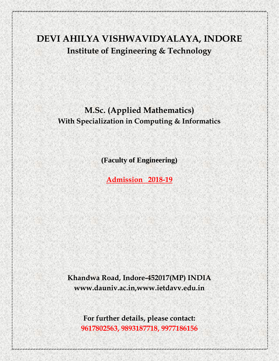# **DEVI AHILYA VISHWAVIDYALAYA, INDORE Institute of Engineering & Technology**

## **M.Sc. (Applied Mathematics) With Specialization in Computing & Informatics**

**(Faculty of Engineering)**

**Admission 2018-19**

**Khandwa Road, Indore-452017(MP) INDIA www.dauniv.ac.in,www.ietdavv.edu.in**

**For further details, please contact: 9617802563, 9893187718, 9977186156**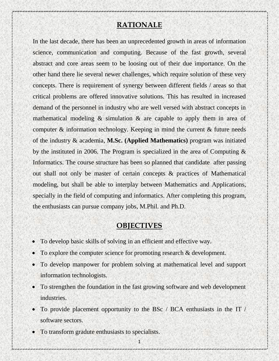#### **RATIONALE**

In the last decade, there has been an unprecedented growth in areas of information science, communication and computing. Because of the fast growth, several abstract and core areas seem to be loosing out of their due importance. On the other hand there lie several newer challenges, which require solution of these very concepts. There is requirement of synergy between different fields / areas so that critical problems are offered innovative solutions. This has resulted in increased demand of the personnel in industry who are well versed with abstract concepts in mathematical modeling & simulation & are capable to apply them in area of computer & information technology. Keeping in mind the current & future needs of the industry & academia, **M.Sc. (Applied Mathematics)** program was initiated by the instituted in 2006. The Program is specialized in the area of Computing & Informatics. The course structure has been so planned that candidate after passing out shall not only be master of certain concepts & practices of Mathematical modeling, but shall be able to interplay between Mathematics and Applications, specially in the field of computing and informatics. After completing this program, the enthusiasts can pursue company jobs, M.Phil. and Ph.D.

#### **OBJECTIVES**

- To develop basic skills of solving in an efficient and effective way.
- To explore the computer science for promoting research & development.
- To develop manpower for problem solving at mathematical level and support information technologists.
- To strengthen the foundation in the fast growing software and web development industries.
- To provide placement opportunity to the BSc / BCA enthusiasts in the IT / software sectors.
- To transform gradute enthusiasts to specialists.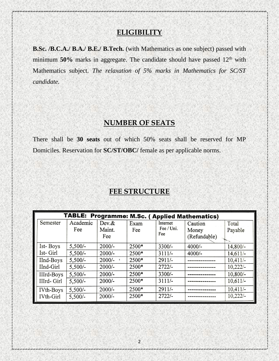## **ELIGIBILITY**

**B.Sc. /B.C.A./ B.A./ B.E./ B.Tech.** (with Mathematics as one subject) passed with minimum  $50\%$  marks in aggregate. The candidate should have passed  $12<sup>th</sup>$  with Mathematics subject. *The relaxation of 5% marks in Mathematics for SC/ST candidate.*

## **NUMBER OF SEATS**

There shall be **30 seats** out of which 50% seats shall be reserved for MP Domiciles. Reservation for **SC/ST/OBC/** female as per applicable norms.

#### **FEE STRUCTURE**

| TABLE:<br><b>Programme: M.Sc. ( Applied Mathematics)</b> |           |          |       |            |              |            |
|----------------------------------------------------------|-----------|----------|-------|------------|--------------|------------|
| Semester                                                 | Academic  | Dev &    | Exam  | Internet   | Caution      | Total      |
|                                                          | Fee       | Maint.   | Fee   | Fee / Uni. | Money        | Payable    |
|                                                          |           | Fee      |       | Fee        | (Refundable) |            |
| Ist-Boys                                                 | $5,500/-$ | $2000/-$ | 2500* | $3300/-$   | $4000/-$     | $14,800/-$ |
| Ist- Girl                                                | $5,500/-$ | $2000/-$ | 2500* | $3111/-$   | $4000/-$     | 14,611/    |
| IInd-Boys                                                | $5,500/-$ | $2000/-$ | 2500* | $2911/-$   |              | 10,411/    |
| IInd-Girl                                                | $5,500/-$ | $2000/-$ | 2500* | $2722/-$   |              | $10,222/-$ |
| IIIrd-Boys                                               | $5,500/-$ | $2000/-$ | 2500* | $3300/-$   |              | $10,800/-$ |
| IIIrd- Girl                                              | $5,500/-$ | $2000/-$ | 2500* | $3111/-$   |              | $10,611/-$ |
| IV <sub>th</sub> -Boys                                   | $5,500/-$ | $2000/-$ | 2500* | $2911/-$   |              | 10,411/    |
| IVth-Girl                                                | $5,500/-$ | $2000/-$ | 2500* | $2722/-$   |              | $10,222/-$ |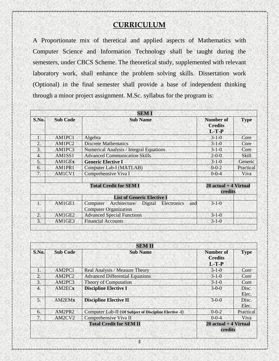## **CURRICULUM**

A Proportionate mix of theretical and applied aspects of Mathematics with Computer Science and Information Technology shall be taught during the semesters, under CBCS Scheme. The theoretical study, supplemented with relevant laboratory work, shall enhance the problem solving skills. Dissertation work (Optional) in the final semester shall provide a base of independent thinking through a minor project assignment. M.Sc. syllabus for the program is:

|                  | <b>SEMI</b>     |                                                                                         |                                               |              |  |  |
|------------------|-----------------|-----------------------------------------------------------------------------------------|-----------------------------------------------|--------------|--|--|
| S.No.            | <b>Sub Code</b> | <b>Sub Name</b>                                                                         | <b>Number of</b><br><b>Credits</b><br>$L-T-P$ | <b>Type</b>  |  |  |
| 1.               | AM1PC1          | Algebra                                                                                 | $3 - 1 - 0$                                   | Core         |  |  |
| $\overline{2}$ . | AM1PC2          | <b>Discrete Mathematics</b>                                                             | $3 - 1 - 0$                                   | Core         |  |  |
| 3.               | AM1PC3          | <b>Numerical Analysis / Integral Equations</b>                                          | $3 - 1 - 0$                                   | Core         |  |  |
| 4.               | AM1SS1          | <b>Advanced Communication Skills</b>                                                    | $2 - 0 - 0$                                   | <b>Skill</b> |  |  |
| 5.               | AM1GEx          | <b>Generic Elective I</b>                                                               | $3 - 1 - 0$                                   | Generic      |  |  |
| 6.               | AM1PR1          | Computer Lab-I (MATLAB)                                                                 | $0 - 0 - 2$                                   | Practical    |  |  |
| 7.               | AM1CV1          | Comprehensive Viva I                                                                    | $0 - 0 - 4$                                   | Viva         |  |  |
|                  |                 |                                                                                         |                                               |              |  |  |
|                  |                 | $20$ actual + 4 Virtual                                                                 |                                               |              |  |  |
|                  |                 |                                                                                         |                                               | credits      |  |  |
|                  |                 | <b>List of Generic Elective I</b>                                                       |                                               |              |  |  |
| $\cdot$ 1.       | AM1GE1          | Architecture/ Digital<br>Electronics<br>Computer<br>and<br><b>Computer Organization</b> | $3 - 1 - 0$                                   |              |  |  |
| 2.               | AM1GE2          | <b>Advanced Special Functions</b>                                                       | $3 - 1 - 0$                                   |              |  |  |
| 3.               | AM1GE3          | <b>Financial Accounts</b>                                                               | $3 - 1 - 0$                                   |              |  |  |

|                | <b>SEMII</b>       |                                                        |                                               |                |  |  |
|----------------|--------------------|--------------------------------------------------------|-----------------------------------------------|----------------|--|--|
| S.No.          | <b>Sub Code</b>    | <b>Sub Name</b>                                        | <b>Number of</b><br><b>Credits</b><br>$L-T-P$ | <b>Type</b>    |  |  |
| 1.             | AM2PC1             | Real Analysis / Measure Theory                         | $3-1-0$                                       | Core           |  |  |
| 2.             | AM2PC2             | <b>Advanced Differential Equations</b>                 | $3 - 1 - 0$                                   | Core           |  |  |
| 3.             | AM2PC3             | Theory of Computation                                  | $3 - 1 - 0$                                   | Core           |  |  |
| 4.             | AM2EC <sub>x</sub> | <b>Discipline Elective I</b>                           | $3 - 0 - 0$                                   | Disc.<br>Elec. |  |  |
| 5 <sub>1</sub> | AM2EMx             | <b>Discipline Elective II</b>                          | $3 - 0 - 0$                                   | Disc.<br>Elec. |  |  |
| 6.             | AM2PR2             | Computer Lab-II (Of Subject of Discipline Elective -I) | $0 - 0 - 2$                                   | Practical      |  |  |
| 7.             | AM2CV2             | Comprehensive Viva II                                  | $0 - 0 - 4$                                   | Viva           |  |  |
|                |                    | <b>Total Credit for SEM II</b>                         | $20$ actual + 4 Virtual<br>credits            |                |  |  |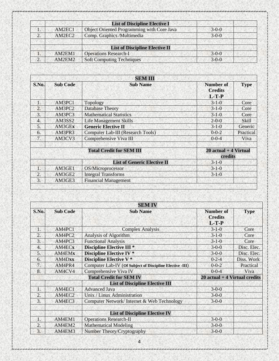|    |        | <b>List of Discipline Elective I</b>       |             |
|----|--------|--------------------------------------------|-------------|
|    | AM2EC1 | Object Oriented Programming with Core Java | $3 - 0 - 0$ |
| 2. | AM2EC2 | Comp. Graphics /Multimedia                 | $3 - 0 - 0$ |
|    |        |                                            |             |
|    |        | <b>List of Discipline Elective II</b>      |             |
|    | AM2EM1 | <b>Operations Research-I</b>               | $3-0-0$     |
|    | AM2EM2 | <b>Soft Computing Techniques</b>           | $3 - 0 - 0$ |

| <b>SEM III</b> |                 |                                          |                                        |              |  |
|----------------|-----------------|------------------------------------------|----------------------------------------|--------------|--|
| S.No.          | <b>Sub Code</b> | <b>Sub Name</b>                          | Number of<br><b>Credits</b><br>$L-T-P$ | <b>Type</b>  |  |
| 1.             | AM3PC1          | Topology                                 | $3 - 1 - 0$                            | Core         |  |
| 2.             | AM3PC2          | <b>Database Theory</b>                   | $3 - 1 - 0$                            | Core         |  |
| 3.             | AM3PC3          | <b>Mathematical Statistics</b>           | $3 - 1 - 0$                            | Core         |  |
| 4.             | AM3SS2          | <b>Life Management Skills</b>            | $2 - 0 - 0$                            | <b>Skill</b> |  |
| 5.             | AM3GEx          | <b>Generic Elective II</b>               | $3 - 1 - 0$                            | Generic      |  |
| 6.             | AM3PR3          | <b>Computer Lab-III</b> (Research Tools) | $0 - 0 - 2$                            | Practical    |  |
| 7.             | AM3CV3          | Comprehensive Viva III                   | $0 - 0 - 4$                            | Viva         |  |
|                |                 | <b>Total Credit for SEM III</b>          | $20$ actual + 4 Virtual<br>credits     |              |  |
|                |                 | <b>List of Generic Elective II</b>       | $3 - 1 - 0$                            |              |  |
| $\mathbf{1}$   | AM3GE1          | OS/Microprocessor                        | $3-1-0$                                |              |  |
| 2.             | AM3GE2          | <b>Integral Transforms</b>               | $3 - 1 - 0$                            |              |  |
| 3.             | AM3GE3          | <b>Financial Management</b>              |                                        |              |  |
|                |                 |                                          |                                        |              |  |

|                                |                 | <b>SEM IV</b>                                            |                                               |             |
|--------------------------------|-----------------|----------------------------------------------------------|-----------------------------------------------|-------------|
| S.No.                          | <b>Sub Code</b> | <b>Sub Name</b>                                          | <b>Number of</b><br><b>Credits</b><br>$L-T-P$ | <b>Type</b> |
| 1.                             | AM4PC1          | <b>Complex Analysis</b>                                  | $3 - 1 - 0$                                   | Core        |
| 2.                             | AM4PC2          | Analysis of Algorithm                                    | $3 - 1 - 0$                                   | Core        |
| 3.                             | AM4PC3          | <b>Functional Analysis</b>                               | $3-1-0$                                       | Core        |
| $\overline{4}$ .               | AM4ECx          | <b>Discipline Elective III *</b>                         | $3 - 0 - 0$                                   | Disc. Elec. |
| 5.                             | AM4EMx          | <b>Discipline Elective IV *</b>                          | $3 - 0 - 0$                                   | Disc. Elec. |
| 6.                             | AM4Dxx          | <b>Discipline Elective V *</b>                           | $0 - 2 - 4$                                   | Diss. Work  |
| 7.                             | AM4PR4          | Computer Lab-IV (Of Subject of Discipline Elective -III) | $0 - 0 - 2$                                   | Practical   |
| 8.                             | AM4CV4          | Comprehensive Viva IV                                    | $0 - 0 - 4$                                   | Viva        |
| <b>Total Credit for SEM IV</b> |                 |                                                          | $20$ actual + 4 Virtual credits               |             |
|                                |                 | <b>List of Discipline Elective III</b>                   |                                               |             |
| $\overline{1}$ .               | AM4EC1          | <b>Advanced Java</b>                                     | $3 - 0 - 0$                                   |             |
| $\overline{2}$                 | AM4EC2          | Unix / Linux Administration                              | $3-0-0$                                       |             |
| 3.                             | AM4EC3          | Computer Network/Internet & Web Technology               | $3 - 0 - 0$                                   |             |
|                                |                 | <b>List of Discipline Elective IV</b>                    |                                               |             |
| 1.                             | AM4EM1          | <b>Operations Research-II</b>                            | $3 - 0 - 0$                                   |             |
| 2.                             | AM4EM2          | <b>Mathematical Modeling</b>                             | $3 - 0 - 0$                                   |             |
| 3.                             | AM4EM3          | Number Theory/Cryptography                               | $3 - 0 - 0$                                   |             |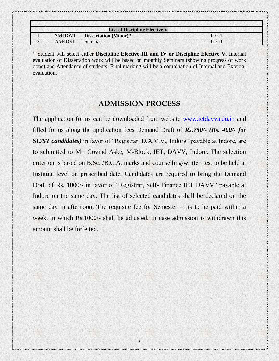|          |        | <b>List of Discipline Elective V</b> |             |  |
|----------|--------|--------------------------------------|-------------|--|
|          | AM4DW1 | <b>Dissertation (Minor)*</b>         | $0 - 0 - 4$ |  |
| <u>.</u> | AM4DS1 | Seminar                              | $0 - 2 - 0$ |  |

\* Student will select either **Discipline Elective III and IV or Discipline Elective V.** Internal evaluation of Dissertation work will be based on monthly Seminars (showing progress of work done) and Attendance of students. Final marking will be a combination of Internal and External evaluation.

#### **ADMISSION PROCESS**

The application forms can be downloaded from website www.ietdavv.edu.in and filled forms along the application fees Demand Draft of *Rs.750/- (Rs. 400/- for SC/ST candidates)* in favor of "Registrar, D.A.V.V., Indore" payable at Indore, are to submitted to Mr. Govind Aske, M-Block, IET, DAVV, Indore. The selection criterion is based on B.Sc. /B.C.A. marks and counselling/written test to be held at Institute level on prescribed date. Candidates are required to bring the Demand Draft of Rs. 1000/- in favor of "Registrar, Self- Finance IET DAVV" payable at Indore on the same day. The list of selected candidates shall be declared on the same day in afternoon. The requisite fee for Semester –I is to be paid within a week, in which Rs.1000/- shall be adjusted. In case admission is withdrawn this amount shall be forfeited.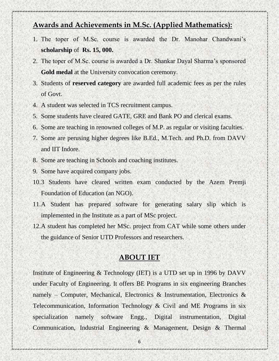## **Awards and Achievements in M.Sc. (Applied Mathematics):**

- 1. The toper of M.Sc. course is awarded the Dr. Manohar Chandwani's **scholarship** of **Rs. 15, 000.**
- 2. The toper of M.Sc. course is awarded a Dr. Shankar Dayal Sharma's sponsored **Gold medal** at the University convocation ceremony.
- 3. Students of **reserved category** are awarded full academic fees as per the rules of Govt.
- 4. A student was selected in TCS recruitment campus.
- 5. Some students have cleared GATE, GRE and Bank PO and clerical exams.
- 6. Some are teaching in renowned colleges of M.P. as regular or visiting faculties.
- 7. Some are perusing higher degrees like B.Ed., M.Tech. and Ph.D. from DAVV and IIT Indore.
- 8. Some are teaching in Schools and coaching institutes.
- 9. Some have acquired company jobs.
- 10.3 Students have cleared written exam conducted by the Azem Premji Foundation of Education (an NGO).
- 11.A Student has prepared software for generating salary slip which is implemented in the Institute as a part of MSc project.
- 12.A student has completed her MSc. project from CAT while some others under the guidance of Senior UTD Professors and researchers.

#### **ABOUT IET**

Institute of Engineering & Technology (IET) is a UTD set up in 1996 by DAVV under Faculty of Engineering. It offers BE Programs in six engineering Branches namely – Computer, Mechanical, Electronics & Instrumentation, Electronics & Telecommunication, Information Technology & Civil and ME Programs in six specialization namely software Engg., Digital instrumentation, Digital Communication, Industrial Engineering & Management, Design & Thermal